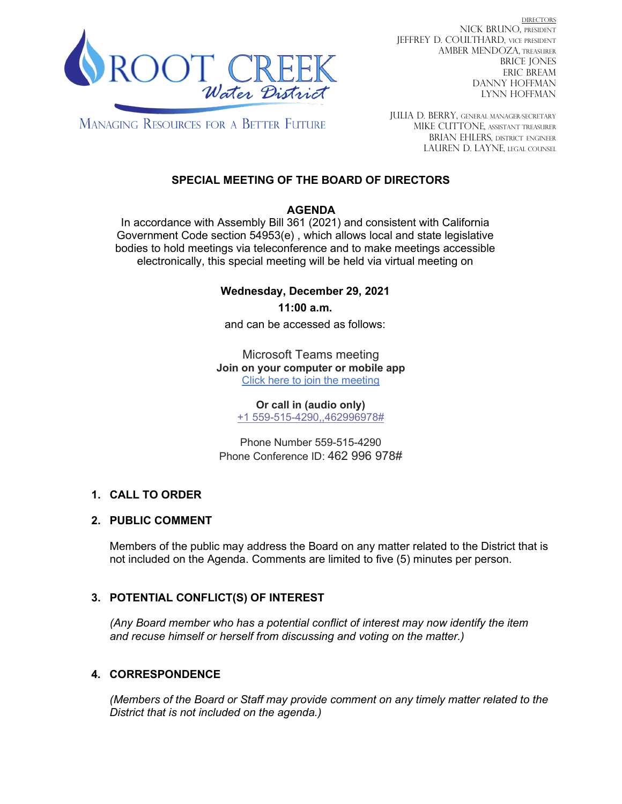

DIRECTORS NICK BRUNO, PRESIDENT JEFFREY D. COULTHARD, Vice President AMBER MENDOZA, TREASURER BRICE JONES ERIC BREAM DANNY HOFFMAN LYNN HOFFMAN

**MANAGING RESOURCES FOR A BETTER FUTURE** 

JULIA D. BERRY, GENERAL MANAGER/secretary MIKE CUTTONE, Assistant treasurer BRIAN EHLERS, DISTRICT ENGINEER LAUREN D. LAYNE, LEGAL COUNSEL

# **SPECIAL MEETING OF THE BOARD OF DIRECTORS**

#### **AGENDA**

In accordance with Assembly Bill 361 (2021) and consistent with California Government Code section 54953(e) , which allows local and state legislative bodies to hold meetings via teleconference and to make meetings accessible electronically, this special meeting will be held via virtual meeting on

### **Wednesday, December 29, 2021**

**11:00 a.m.**

and can be accessed as follows:

Microsoft Teams meeting **Join on your computer or mobile app** [Click here to join the meeting](https://teams.microsoft.com/l/meetup-join/19%3ameeting_MzlmZjZjNTctMWEzOC00M2QxLWFiYWItMmI3MDhhYmMxOGJm%40thread.v2/0?context=%7b%22Tid%22%3a%2259212874-3856-42a0-86b1-7f9e50697b1a%22%2c%22Oid%22%3a%2223b977df-4b1a-4236-9d1c-5c06c4f5efea%22%7d)

> **Or call in (audio only)** [+1 559-515-4290,,462996978#](tel:+15595154290,,462996978)

Phone Number 559-515-4290 Phone Conference ID: 462 996 978#

### **1. CALL TO ORDER**

### **2. PUBLIC COMMENT**

Members of the public may address the Board on any matter related to the District that is not included on the Agenda. Comments are limited to five (5) minutes per person.

# **3. POTENTIAL CONFLICT(S) OF INTEREST**

*(Any Board member who has a potential conflict of interest may now identify the item and recuse himself or herself from discussing and voting on the matter.)*

### **4. CORRESPONDENCE**

*(Members of the Board or Staff may provide comment on any timely matter related to the District that is not included on the agenda.)*